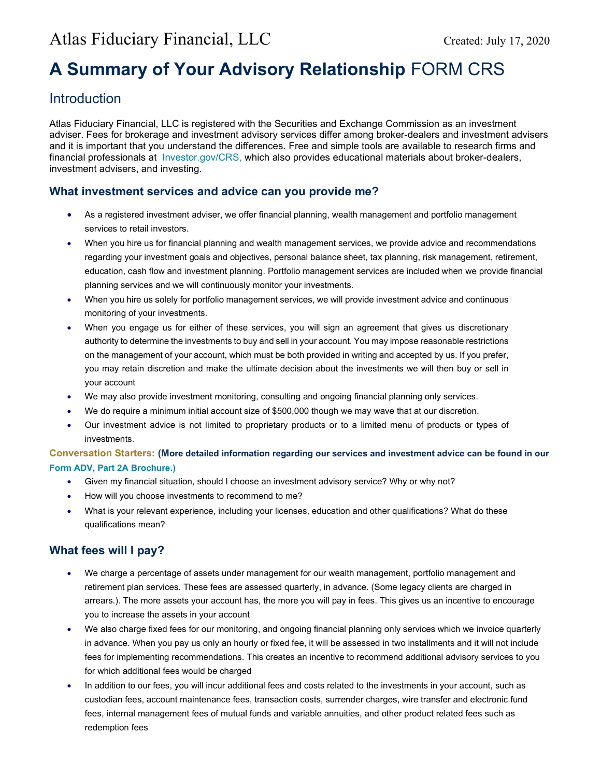# A Summary of Your Advisory Relationship FORM CRS

## **Introduction**

Atlas Fiduciary Financial, LLC is registered with the Securities and Exchange Commission as an investment adviser. Fees for brokerage and investment advisory services differ among broker-dealers and investment advisers and it is important that you understand the differences. Free and simple tools are available to research firms and financial professionals at Investor.gov/CRS, which also provides educational materials about broker-dealers, investment advisers, and investing.

### What investment services and advice can you provide me?

- As a registered investment adviser, we offer financial planning, wealth management and portfolio management services to retail investors.
- When you hire us for financial planning and wealth management services, we provide advice and recommendations regarding your investment goals and objectives, personal balance sheet, tax planning, risk management, retirement, education, cash flow and investment planning. Portfolio management services are included when we provide financial planning services and we will continuously monitor your investments.
- When you hire us solely for portfolio management services, we will provide investment advice and continuous monitoring of your investments.
- When you engage us for either of these services, you will sign an agreement that gives us discretionary authority to determine the investments to buy and sell in your account. You may impose reasonable restrictions on the management of your account, which must be both provided in writing and accepted by us. If you prefer, you may retain discretion and make the ultimate decision about the investments we will then buy or sell in your account
- We may also provide investment monitoring, consulting and ongoing financial planning only services.
- We do require a minimum initial account size of \$500,000 though we may wave that at our discretion.
- Our investment advice is not limited to proprietary products or to a limited menu of products or types of investments.

#### Conversation Starters: (More detailed information regarding our services and investment advice can be found in our Form ADV, Part 2A Brochure.)

- Given my financial situation, should I choose an investment advisory service? Why or why not?
- How will you choose investments to recommend to me?
- What is your relevant experience, including your licenses, education and other qualifications? What do these qualifications mean?

## What fees will I pay?

- We charge a percentage of assets under management for our wealth management, portfolio management and retirement plan services. These fees are assessed quarterly, in advance. (Some legacy clients are charged in arrears.). The more assets your account has, the more you will pay in fees. This gives us an incentive to encourage you to increase the assets in your account
- We also charge fixed fees for our monitoring, and ongoing financial planning only services which we invoice quarterly in advance. When you pay us only an hourly or fixed fee, it will be assessed in two installments and it will not include fees for implementing recommendations. This creates an incentive to recommend additional advisory services to you for which additional fees would be charged
- In addition to our fees, you will incur additional fees and costs related to the investments in your account, such as custodian fees, account maintenance fees, transaction costs, surrender charges, wire transfer and electronic fund fees, internal management fees of mutual funds and variable annuities, and other product related fees such as redemption fees